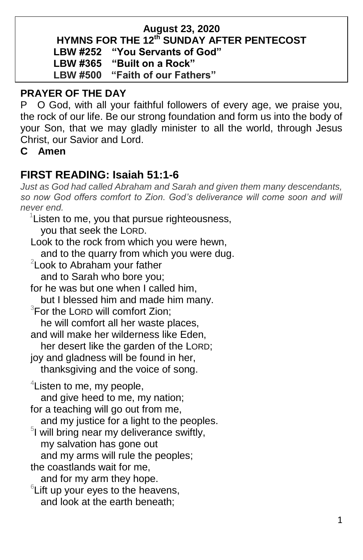#### **August 23, 2020 HYMNS FOR THE 12 th SUNDAY AFTER PENTECOST LBW #252 "You Servants of God" LBW #365 "Built on a Rock" LBW #500 "Faith of our Fathers"**

### **PRAYER OF THE DAY**

P O God, with all your faithful followers of every age, we praise you, the rock of our life. Be our strong foundation and form us into the body of your Son, that we may gladly minister to all the world, through Jesus Christ, our Savior and Lord.

**C Amen**

## **FIRST READING: Isaiah 51:1-6**

*Just as God had called Abraham and Sarah and given them many descendants,*  so now God offers comfort to Zion. God's deliverance will come soon and will *never end.*

 $1$ Listen to me, you that pursue righteousness, you that seek the LORD. Look to the rock from which you were hewn, and to the quarry from which you were dug. <sup>2</sup> Look to Abraham your father and to Sarah who bore you; for he was but one when I called him, but I blessed him and made him many. <sup>3</sup>For the LORD will comfort Zion; he will comfort all her waste places, and will make her wilderness like Eden, her desert like the garden of the LORD; joy and gladness will be found in her, thanksgiving and the voice of song. <sup>4</sup> Listen to me, my people, and give heed to me, my nation; for a teaching will go out from me, and my justice for a light to the peoples. 5 I will bring near my deliverance swiftly, my salvation has gone out and my arms will rule the peoples; the coastlands wait for me, and for my arm they hope.  $6$ Lift up your eyes to the heavens, and look at the earth beneath;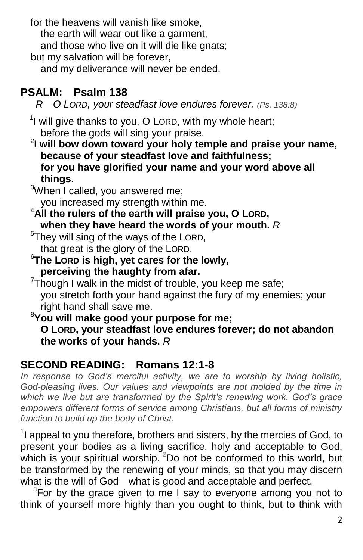for the heavens will vanish like smoke, the earth will wear out like a garment, and those who live on it will die like gnats; but my salvation will be forever,

and my deliverance will never be ended.

# **PSALM: Psalm 138**

 *R O LORD, your steadfast love endures forever. (Ps. 138:8)*

 $1$  will give thanks to you, O LORD, with my whole heart; before the gods will sing your praise.

2 **I will bow down toward your holy temple and praise your name, because of your steadfast love and faithfulness; for you have glorified your name and your word above all things.**

3When I called, you answered me; you increased my strength within me.

<sup>4</sup>**All the rulers of the earth will praise you, O LORD, when they have heard the words of your mouth.** *R*

 $5$ They will sing of the ways of the LORD, that great is the glory of the LORD.

<sup>6</sup>**The LORD is high, yet cares for the lowly, perceiving the haughty from afar.**

 $7$ Though I walk in the midst of trouble, you keep me safe; you stretch forth your hand against the fury of my enemies; your right hand shall save me.

<sup>8</sup>**You will make good your purpose for me; O LORD, your steadfast love endures forever; do not abandon the works of your hands.** *R*

# **SECOND READING: Romans 12:1-8**

*In response to God's merciful activity, we are to worship by living holistic, God-pleasing lives. Our values and viewpoints are not molded by the time in which we live but are transformed by the Spirit's renewing work. God's grace empowers different forms of service among Christians, but all forms of ministry function to build up the body of Christ.*

 $1$  appeal to you therefore, brothers and sisters, by the mercies of God, to present your bodies as a living sacrifice, holy and acceptable to God, which is your spiritual worship.  $2$ Do not be conformed to this world, but be transformed by the renewing of your minds, so that you may discern what is the will of God—what is good and acceptable and perfect.

 $3$ For by the grace given to me I say to everyone among you not to think of yourself more highly than you ought to think, but to think with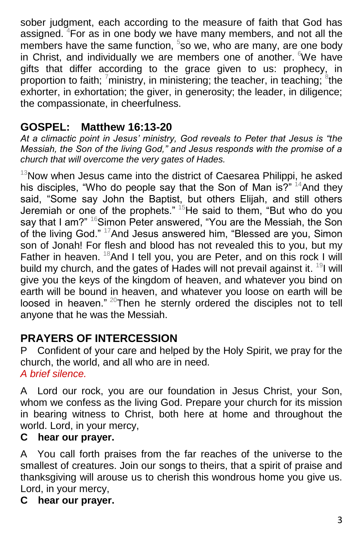sober judgment, each according to the measure of faith that God has assigned. <sup>4</sup>For as in one body we have many members, and not all the members have the same function,  $5$ so we, who are many, are one body in Christ, and individually we are members one of another. We have gifts that differ according to the grace given to us: prophecy, in proportion to faith;  $\frac{7}{1}$ ministry, in ministering; the teacher, in teaching;  $\frac{8}{1}$ the exhorter, in exhortation; the giver, in generosity; the leader, in diligence; the compassionate, in cheerfulness.

# **GOSPEL: Matthew 16:13-20**

*At a climactic point in Jesus' ministry, God reveals to Peter that Jesus is "the Messiah, the Son of the living God," and Jesus responds with the promise of a church that will overcome the very gates of Hades.*

 $13$ Now when Jesus came into the district of Caesarea Philippi, he asked his disciples, "Who do people say that the Son of Man is?"  $14$ And they said, "Some say John the Baptist, but others Elijah, and still others Jeremiah or one of the prophets."  $15$ He said to them, "But who do you say that I am?" <sup>16</sup>Simon Peter answered, "You are the Messiah, the Son of the living God." <sup>17</sup>And Jesus answered him, "Blessed are you, Simon son of Jonah! For flesh and blood has not revealed this to you, but my Father in heaven.  $18$ And I tell you, you are Peter, and on this rock I will build my church, and the gates of Hades will not prevail against it. <sup>19</sup>I will give you the keys of the kingdom of heaven, and whatever you bind on earth will be bound in heaven, and whatever you loose on earth will be loosed in heaven." <sup>20</sup>Then he sternly ordered the disciples not to tell anyone that he was the Messiah.

# **PRAYERS OF INTERCESSION**

P Confident of your care and helped by the Holy Spirit, we pray for the church, the world, and all who are in need. *A brief silence.*

A Lord our rock, you are our foundation in Jesus Christ, your Son, whom we confess as the living God. Prepare your church for its mission in bearing witness to Christ, both here at home and throughout the world. Lord, in your mercy,

### **C hear our prayer.**

AYou call forth praises from the far reaches of the universe to the smallest of creatures. Join our songs to theirs, that a spirit of praise and thanksgiving will arouse us to cherish this wondrous home you give us. Lord, in your mercy,

#### **C hear our prayer.**